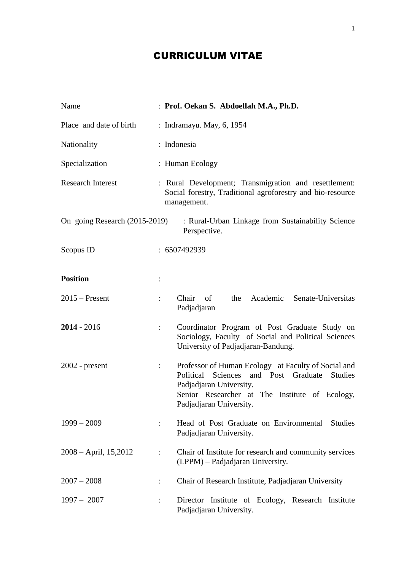# CURRICULUM VITAE

| Name                            |                      | : Prof. Oekan S. Abdoellah M.A., Ph.D.                                                                                                                                                                                      |
|---------------------------------|----------------------|-----------------------------------------------------------------------------------------------------------------------------------------------------------------------------------------------------------------------------|
| Place and date of birth         |                      | : Indramayu. May, 6, 1954                                                                                                                                                                                                   |
| Nationality                     |                      | : Indonesia                                                                                                                                                                                                                 |
| Specialization                  |                      | : Human Ecology                                                                                                                                                                                                             |
| <b>Research Interest</b>        |                      | : Rural Development; Transmigration and resettlement:<br>Social forestry, Traditional agroforestry and bio-resource<br>management.                                                                                          |
| On going Research $(2015-2019)$ |                      | : Rural-Urban Linkage from Sustainability Science<br>Perspective.                                                                                                                                                           |
| Scopus ID                       |                      | : 6507492939                                                                                                                                                                                                                |
| <b>Position</b>                 |                      |                                                                                                                                                                                                                             |
| $2015$ – Present                | $\ddot{\phantom{a}}$ | Chair<br>Academic Senate-Universitas<br>of<br>the<br>Padjadjaran                                                                                                                                                            |
| $2014 - 2016$                   | $\ddot{\cdot}$       | Coordinator Program of Post Graduate Study on<br>Sociology, Faculty of Social and Political Sciences<br>University of Padjadjaran-Bandung.                                                                                  |
| $2002$ - present                | $\ddot{\cdot}$       | Professor of Human Ecology at Faculty of Social and<br>Sciences<br>Political<br>and Post Graduate<br><b>Studies</b><br>Padjadjaran University.<br>Senior Researcher at The Institute of Ecology,<br>Padjadjaran University. |
| $1999 - 2009$                   |                      | Head of Post Graduate on Environmental<br><b>Studies</b><br>Padjadjaran University.                                                                                                                                         |
| $2008 - April, 15,2012$         | $\ddot{\cdot}$       | Chair of Institute for research and community services<br>(LPPM) – Padjadjaran University.                                                                                                                                  |
| $2007 - 2008$                   |                      | Chair of Research Institute, Padjadjaran University                                                                                                                                                                         |
| $1997 - 2007$                   |                      | Director Institute of Ecology, Research Institute<br>Padjadjaran University.                                                                                                                                                |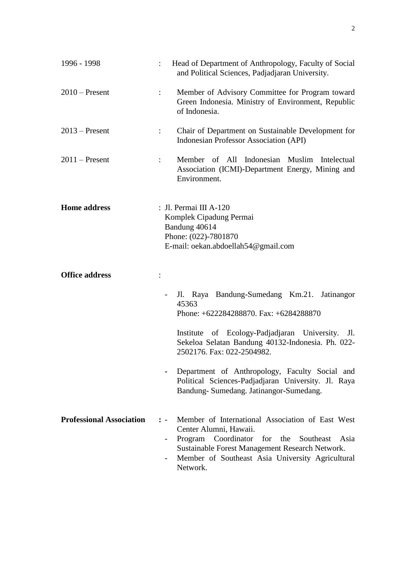| 1996 - 1998                     | Head of Department of Anthropology, Faculty of Social<br>and Political Sciences, Padjadjaran University.                                                                                                                                                                                    |
|---------------------------------|---------------------------------------------------------------------------------------------------------------------------------------------------------------------------------------------------------------------------------------------------------------------------------------------|
| $2010$ – Present                | Member of Advisory Committee for Program toward<br>$\ddot{\cdot}$<br>Green Indonesia. Ministry of Environment, Republic<br>of Indonesia.                                                                                                                                                    |
| $2013$ – Present                | Chair of Department on Sustainable Development for<br>$\ddot{\phantom{a}}$<br><b>Indonesian Professor Association (API)</b>                                                                                                                                                                 |
| $2011$ – Present                | Member of All Indonesian Muslim Intelectual<br>$\ddot{\cdot}$<br>Association (ICMI)-Department Energy, Mining and<br>Environment.                                                                                                                                                           |
| <b>Home address</b>             | : Jl. Permai III A-120<br>Komplek Cipadung Permai<br>Bandung 40614<br>Phone: (022)-7801870<br>E-mail: oekan.abdoellah54@gmail.com                                                                                                                                                           |
| <b>Office address</b>           |                                                                                                                                                                                                                                                                                             |
|                                 | Jl. Raya Bandung-Sumedang Km.21.<br>Jatinangor<br>$-$<br>45363<br>Phone: +622284288870. Fax: +6284288870                                                                                                                                                                                    |
|                                 | Institute of Ecology-Padjadjaran University.<br>Jl.<br>Sekeloa Selatan Bandung 40132-Indonesia. Ph. 022-<br>2502176. Fax: 022-2504982.                                                                                                                                                      |
|                                 | Department of Anthropology, Faculty Social and<br>Political Sciences-Padjadjaran University. Jl. Raya<br>Bandung-Sumedang. Jatinangor-Sumedang.                                                                                                                                             |
| <b>Professional Association</b> | Member of International Association of East West<br>$\ddot{\cdot}$ -<br>Center Alumni, Hawaii.<br>Program Coordinator for the Southeast Asia<br>Sustainable Forest Management Research Network.<br>Member of Southeast Asia University Agricultural<br>$\overline{\phantom{0}}$<br>Network. |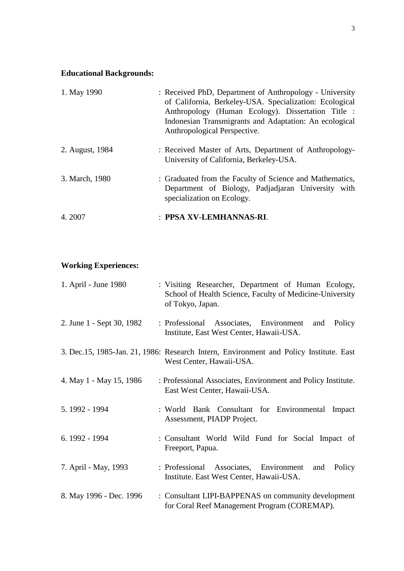# **Educational Backgrounds:**

| 1. May 1990     | : Received PhD, Department of Anthropology - University<br>of California, Berkeley-USA. Specialization: Ecological<br>Anthropology (Human Ecology). Dissertation Title :<br>Indonesian Transmigrants and Adaptation: An ecological<br>Anthropological Perspective. |
|-----------------|--------------------------------------------------------------------------------------------------------------------------------------------------------------------------------------------------------------------------------------------------------------------|
| 2. August, 1984 | : Received Master of Arts, Department of Anthropology-<br>University of California, Berkeley-USA.                                                                                                                                                                  |
| 3. March, 1980  | : Graduated from the Faculty of Science and Mathematics,<br>Department of Biology, Padjadjaran University with<br>specialization on Ecology.                                                                                                                       |
| 4. 2007         | : PPSA XV-LEMHANNAS-RI.                                                                                                                                                                                                                                            |

## **Working Experiences:**

| 1. April - June 1980      | : Visiting Researcher, Department of Human Ecology,<br>School of Health Science, Faculty of Medicine-University<br>of Tokyo, Japan. |
|---------------------------|-------------------------------------------------------------------------------------------------------------------------------------|
| 2. June 1 - Sept 30, 1982 | : Professional Associates, Environment<br>Policy<br>and<br>Institute, East West Center, Hawaii-USA.                                 |
|                           | 3. Dec.15, 1985-Jan. 21, 1986: Research Intern, Environment and Policy Institute. East<br>West Center, Hawaii-USA.                  |
| 4. May 1 - May 15, 1986   | : Professional Associates, Environment and Policy Institute.<br>East West Center, Hawaii-USA.                                       |
| 5. 1992 - 1994            | : World Bank Consultant for Environmental Impact<br>Assessment, PIADP Project.                                                      |
| 6. 1992 - 1994            | : Consultant World Wild Fund for Social Impact of<br>Freeport, Papua.                                                               |
| 7. April - May, 1993      | : Professional Associates, Environment<br>Policy<br>and<br>Institute. East West Center, Hawaii-USA.                                 |
| 8. May 1996 - Dec. 1996   | : Consultant LIPI-BAPPENAS on community development<br>for Coral Reef Management Program (COREMAP).                                 |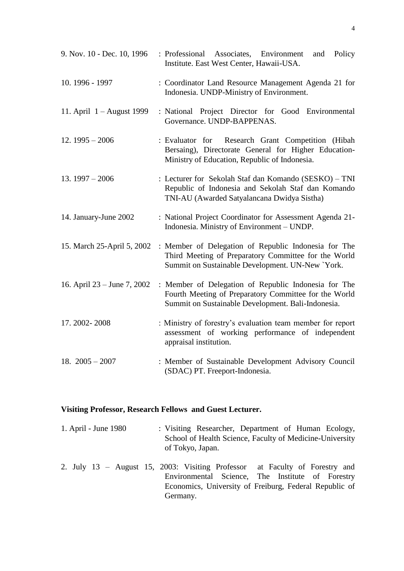| 9. Nov. 10 - Dec. 10, 1996    | : Professional<br>Associates, Environment<br>and Policy<br>Institute. East West Center, Hawaii-USA.                                                                 |
|-------------------------------|---------------------------------------------------------------------------------------------------------------------------------------------------------------------|
| 10.1996 - 1997                | : Coordinator Land Resource Management Agenda 21 for<br>Indonesia. UNDP-Ministry of Environment.                                                                    |
| 11. April $1 -$ August 1999   | : National Project Director for Good Environmental<br>Governance. UNDP-BAPPENAS.                                                                                    |
| $12.1995 - 2006$              | Research Grant Competition (Hibah<br>: Evaluator for<br>Bersaing), Directorate General for Higher Education-<br>Ministry of Education, Republic of Indonesia.       |
| 13. $1997 - 2006$             | : Lecturer for Sekolah Staf dan Komando (SESKO) - TNI<br>Republic of Indonesia and Sekolah Staf dan Komando<br>TNI-AU (Awarded Satyalancana Dwidya Sistha)          |
| 14. January-June 2002         | : National Project Coordinator for Assessment Agenda 21-<br>Indonesia. Ministry of Environment - UNDP.                                                              |
| 15. March 25-April 5, 2002    | : Member of Delegation of Republic Indonesia for The<br>Third Meeting of Preparatory Committee for the World<br>Summit on Sustainable Development. UN-New 'York.    |
| 16. April $23 -$ June 7, 2002 | : Member of Delegation of Republic Indonesia for The<br>Fourth Meeting of Preparatory Committee for the World<br>Summit on Sustainable Development. Bali-Indonesia. |
| 17.2002-2008                  | : Ministry of forestry's evaluation team member for report<br>assessment of working performance of independent<br>appraisal institution.                            |
| 18. $2005 - 2007$             | : Member of Sustainable Development Advisory Council<br>(SDAC) PT. Freeport-Indonesia.                                                                              |

## **Visiting Professor, Research Fellows and Guest Lecturer.**

| 1. April - June 1980 | : Visiting Researcher, Department of Human Ecology,<br>School of Health Science, Faculty of Medicine-University<br>of Tokyo, Japan.                                                       |
|----------------------|-------------------------------------------------------------------------------------------------------------------------------------------------------------------------------------------|
|                      | 2. July 13 – August 15, 2003: Visiting Professor at Faculty of Forestry and<br>Environmental Science, The Institute of Forestry<br>Economics, University of Freiburg, Federal Republic of |

Germany.

4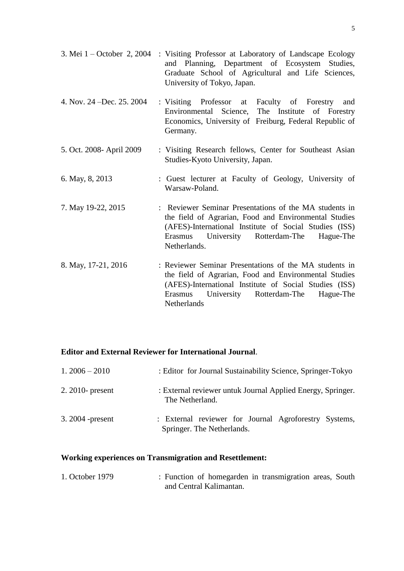|                            | 3. Mei 1 – October 2, 2004 : Visiting Professor at Laboratory of Landscape Ecology<br>and Planning, Department of Ecosystem Studies,<br>Graduate School of Agricultural and Life Sciences,<br>University of Tokyo, Japan.                  |
|----------------------------|--------------------------------------------------------------------------------------------------------------------------------------------------------------------------------------------------------------------------------------------|
| 4. Nov. 24 – Dec. 25. 2004 | : Visiting Professor at Faculty of Forestry<br>and<br>Environmental Science, The Institute of Forestry<br>Economics, University of Freiburg, Federal Republic of<br>Germany.                                                               |
| 5. Oct. 2008- April 2009   | : Visiting Research fellows, Center for Southeast Asian<br>Studies-Kyoto University, Japan.                                                                                                                                                |
| 6. May, 8, 2013            | : Guest lecturer at Faculty of Geology, University of<br>Warsaw-Poland.                                                                                                                                                                    |
| 7. May 19-22, 2015         | : Reviewer Seminar Presentations of the MA students in<br>the field of Agrarian, Food and Environmental Studies<br>(AFES)-International Institute of Social Studies (ISS)<br>Erasmus University Rotterdam-The<br>Hague-The<br>Netherlands. |
| 8. May, 17-21, 2016        | : Reviewer Seminar Presentations of the MA students in<br>the field of Agrarian, Food and Environmental Studies<br>(AFES)-International Institute of Social Studies (ISS)<br>University Rotterdam-The<br>Erasmus<br>Hague-The              |

### **Editor and External Reviewer for International Journal**.

Netherlands

| $1.2006 - 2010$   | : Editor for Journal Sustainability Science, Springer-Tokyo                         |
|-------------------|-------------------------------------------------------------------------------------|
| 2. 2010- present  | : External reviewer untuk Journal Applied Energy, Springer.<br>The Netherland.      |
| 3. 2004 - present | : External reviewer for Journal Agroforestry Systems,<br>Springer. The Netherlands. |

### **Working experiences on Transmigration and Resettlement:**

| 1. October 1979 |  |                         | : Function of homegarden in transmigration areas, South |  |
|-----------------|--|-------------------------|---------------------------------------------------------|--|
|                 |  | and Central Kalimantan. |                                                         |  |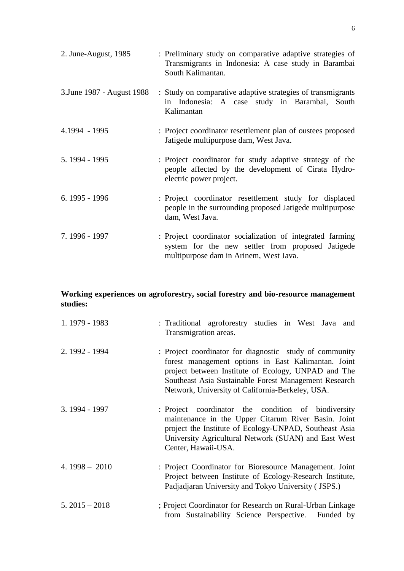| 2. June-August, 1985       | : Preliminary study on comparative adaptive strategies of<br>Transmigrants in Indonesia: A case study in Barambai<br>South Kalimantan.                   |
|----------------------------|----------------------------------------------------------------------------------------------------------------------------------------------------------|
| 3. June 1987 - August 1988 | : Study on comparative adaptive strategies of transmigrants<br>in Indonesia: A case study in Barambai, South<br>Kalimantan                               |
| 4.1994 - 1995              | : Project coordinator resettlement plan of oustees proposed<br>Jatigede multipurpose dam, West Java.                                                     |
| 5. 1994 - 1995             | : Project coordinator for study adaptive strategy of the<br>people affected by the development of Cirata Hydro-<br>electric power project.               |
| 6. 1995 - 1996             | : Project coordinator resettlement study for displaced<br>people in the surrounding proposed Jatigede multipurpose<br>dam, West Java.                    |
| 7.1996 - 1997              | : Project coordinator socialization of integrated farming<br>system for the new settler from proposed Jatigede<br>multipurpose dam in Arinem, West Java. |

### **Working experiences on agroforestry, social forestry and bio-resource management studies:**

| 1. 1979 - 1983   | : Traditional agroforestry studies in West Java and<br>Transmigration areas.                                                                                                                                                                                                       |
|------------------|------------------------------------------------------------------------------------------------------------------------------------------------------------------------------------------------------------------------------------------------------------------------------------|
| 2. 1992 - 1994   | : Project coordinator for diagnostic study of community<br>forest management options in East Kalimantan. Joint<br>project between Institute of Ecology, UNPAD and The<br>Southeast Asia Sustainable Forest Management Research<br>Network, University of California-Berkeley, USA. |
| 3.1994 - 1997    | : Project coordinator the condition of biodiversity<br>maintenance in the Upper Citarum River Basin. Joint<br>project the Institute of Ecology-UNPAD, Southeast Asia<br>University Agricultural Network (SUAN) and East West<br>Center, Hawaii-USA.                                |
| 4. $1998 - 2010$ | : Project Coordinator for Bioresource Management. Joint<br>Project between Institute of Ecology-Research Institute,<br>Padjadjaran University and Tokyo University (JSPS.)                                                                                                         |
| $5.2015 - 2018$  | ; Project Coordinator for Research on Rural-Urban Linkage<br>from Sustainability Science Perspective. Funded by                                                                                                                                                                    |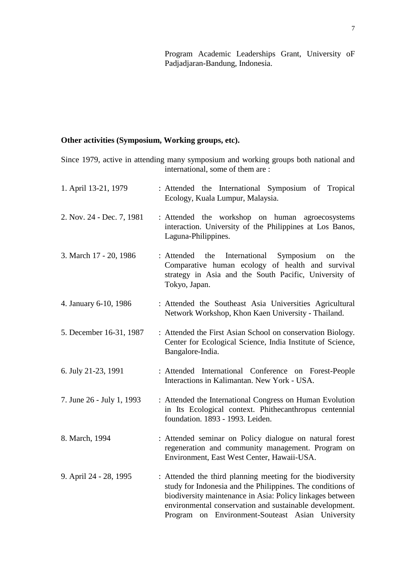Program Academic Leaderships Grant, University oF Padjadjaran-Bandung, Indonesia.

### **Other activities (Symposium, Working groups, etc).**

|                           | Since 1979, active in attending many symposium and working groups both national and<br>international, some of them are :                                                                                                                                                                                |
|---------------------------|---------------------------------------------------------------------------------------------------------------------------------------------------------------------------------------------------------------------------------------------------------------------------------------------------------|
| 1. April 13-21, 1979      | : Attended the International Symposium of Tropical<br>Ecology, Kuala Lumpur, Malaysia.                                                                                                                                                                                                                  |
| 2. Nov. 24 - Dec. 7, 1981 | : Attended the workshop on human agroecosystems<br>interaction. University of the Philippines at Los Banos,<br>Laguna-Philippines.                                                                                                                                                                      |
| 3. March 17 - 20, 1986    | : Attended the International Symposium on<br>the<br>Comparative human ecology of health and survival<br>strategy in Asia and the South Pacific, University of<br>Tokyo, Japan.                                                                                                                          |
| 4. January 6-10, 1986     | : Attended the Southeast Asia Universities Agricultural<br>Network Workshop, Khon Kaen University - Thailand.                                                                                                                                                                                           |
| 5. December 16-31, 1987   | : Attended the First Asian School on conservation Biology.<br>Center for Ecological Science, India Institute of Science,<br>Bangalore-India.                                                                                                                                                            |
| 6. July 21-23, 1991       | : Attended International Conference on Forest-People<br>Interactions in Kalimantan. New York - USA.                                                                                                                                                                                                     |
| 7. June 26 - July 1, 1993 | : Attended the International Congress on Human Evolution<br>in Its Ecological context. Phithecanthropus centennial<br>foundation. 1893 - 1993. Leiden.                                                                                                                                                  |
| 8. March, 1994            | : Attended seminar on Policy dialogue on natural forest<br>regeneration and community management. Program on<br>Environment, East West Center, Hawaii-USA.                                                                                                                                              |
| 9. April 24 - 28, 1995    | : Attended the third planning meeting for the biodiversity<br>study for Indonesia and the Philippines. The conditions of<br>biodiversity maintenance in Asia: Policy linkages between<br>environmental conservation and sustainable development.<br>on Environment-Souteast Asian University<br>Program |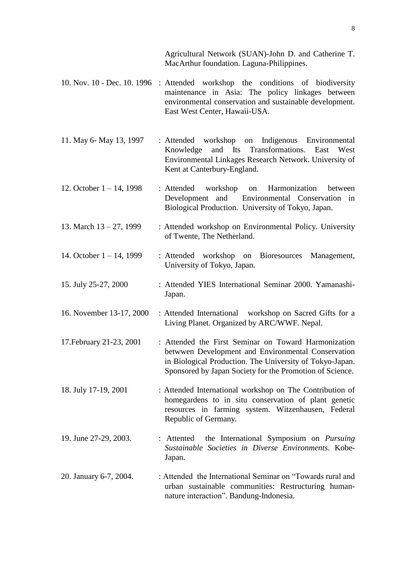Agricultural Network (SUAN)-John D. and Catherine T. MacArthur foundation. Laguna-Philippines.

- 10. Nov. 10 Dec. 10. 1996 : Attended workshop the conditions of biodiversity maintenance in Asia: The policy linkages between environmental conservation and sustainable development. East West Center, Hawaii-USA.
- 11. May 6- May 13, 1997 : Attended workshop on Indigenous Environmental Knowledge and Its Transformations. East West Environmental Linkages Research Network. University of Kent at Canterbury-England.
- 12. October 1 14, 1998 : Attended workshop on Harmonization between Development and Environmental Conservation in Biological Production. University of Tokyo, Japan.
- 13. March  $13 27$ , 1999 : Attended workshop on Environmental Policy. University of Twente, The Netherland.
- 14. October 1 14, 1999 : Attended workshop on Bioresources Management, University of Tokyo, Japan.
- 15. July 25-27, 2000 : Attended YIES International Seminar 2000. Yamanashi-Japan.
- 16. November 13-17, 2000 : Attended International workshop on Sacred Gifts for a Living Planet. Organized by ARC/WWF. Nepal.
- 17. February 21-23, 2001 : Attended the First Seminar on Toward Harmonization betwwen Development and Environmental Conservation in Biological Production. The University of Tokyo-Japan. Sponsored by Japan Society for the Promotion of Science.
- 18. July 17-19, 2001 : Attended International workshop on The Contribution of homegardens to in situ conservation of plant genetic resources in farming system. Witzenhausen, Federal Republic of Germany.
- 19. June 27-29, 2003. : Attented the International Symposium on *Pursuing Sustainable Societies in Diverse Environments*. Kobe-Japan.
- 20. January 6-7, 2004. : Attended the International Seminar on "Towards rural and urban sustainable communities: Restructuring humannature interaction". Bandung-Indonesia.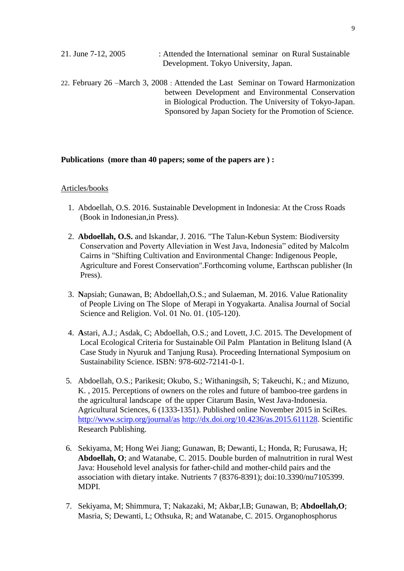21. June 7-12, 2005 : Attended the International seminar on Rural Sustainable Development. Tokyo University, Japan. 22. February 26 –March 3, 2008 : Attended the Last Seminar on Toward Harmonization between Development and Environmental Conservation

> in Biological Production. The University of Tokyo-Japan. Sponsored by Japan Society for the Promotion of Science.

### **Publications (more than 40 papers; some of the papers are ) :**

#### Articles/books

- 1. Abdoellah, O.S. 2016. Sustainable Development in Indonesia: At the Cross Roads (Book in Indonesian,in Press).
- 2. **Abdoellah, O.S.** and Iskandar, J. 2016. "The Talun-Kebun System: Biodiversity Conservation and Poverty Alleviation in West Java, Indonesia" edited by Malcolm Cairns in "Shifting Cultivation and Environmental Change: Indigenous People, Agriculture and Forest Conservation".Forthcoming volume, Earthscan publisher (In Press).
- 3. **N**apsiah; Gunawan, B; Abdoellah,O.S.; and Sulaeman, M. 2016. Value Rationality of People Living on The Slope of Merapi in Yogyakarta. Analisa Journal of Social Science and Religion. Vol. 01 No. 01. (105-120).
- 4. **A**stari, A.J.; Asdak, C; Abdoellah, O.S.; and Lovett, J.C. 2015. The Development of Local Ecological Criteria for Sustainable Oil Palm Plantation in Belitung Island (A Case Study in Nyuruk and Tanjung Rusa). Proceeding International Symposium on Sustainability Science. ISBN: 978-602-72141-0-1.
- 5. Abdoellah, O.S.; Parikesit; Okubo, S.; Withaningsih, S; Takeuchi, K.; and Mizuno, K. , 2015. Perceptions of owners on the roles and future of bamboo-tree gardens in the agricultural landscape of the upper Citarum Basin, West Java-Indonesia. Agricultural Sciences, 6 (1333-1351). Published online November 2015 in SciRes. <http://www.scirp.org/journal/as> [http://dx.doi.org/10.4236/as.2015.611128.](http://dx.doi.org/10.4236/as.2015.611128) Scientific Research Publishing.
- 6. Sekiyama, M; Hong Wei Jiang; Gunawan, B; Dewanti, L; Honda, R; Furusawa, H; **Abdoellah, O**; and Watanabe, C. 2015. Double burden of malnutrition in rural West Java: Household level analysis for father-child and mother-child pairs and the association with dietary intake. Nutrients 7 (8376-8391); doi:10.3390/nu7105399. MDPI.
- 7. Sekiyama, M; Shimmura, T; Nakazaki, M; Akbar,I.B; Gunawan, B; **Abdoellah,O**; Masria, S; Dewanti, L; Othsuka, R; and Watanabe, C. 2015. Organophosphorus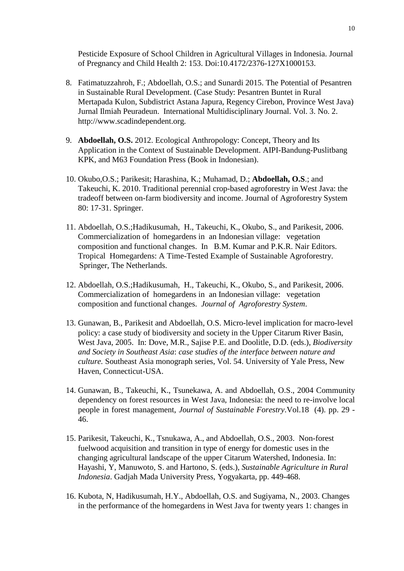Pesticide Exposure of School Children in Agricultural Villages in Indonesia. Journal of Pregnancy and Child Health 2: 153. Doi:10.4172/2376-127X1000153.

- 8. Fatimatuzzahroh, F.; Abdoellah, O.S.; and Sunardi 2015. The Potential of Pesantren in Sustainable Rural Development. (Case Study: Pesantren Buntet in Rural Mertapada Kulon, Subdistrict Astana Japura, Regency Cirebon, Province West Java) Jurnal Ilmiah Peuradeun. International Multidisciplinary Journal. Vol. 3. No. 2. http://www.scadindependent.org.
- 9. **Abdoellah, O.S.** 2012. Ecological Anthropology: Concept, Theory and Its Application in the Context of Sustainable Development. AIPI-Bandung-Puslitbang KPK, and M63 Foundation Press (Book in Indonesian).
- 10. Okubo,O.S.; Parikesit; Harashina, K.; Muhamad, D.; **Abdoellah, O.S**.; and Takeuchi, K. 2010. Traditional perennial crop-based agroforestry in West Java: the tradeoff between on-farm biodiversity and income. Journal of Agroforestry System 80: 17-31. Springer.
- 11. Abdoellah, O.S.;Hadikusumah, H., Takeuchi, K., Okubo, S., and Parikesit, 2006. Commercialization of homegardens in an Indonesian village: vegetation composition and functional changes. In B.M. Kumar and P.K.R. Nair Editors. Tropical Homegardens: A Time-Tested Example of Sustainable Agroforestry. Springer, The Netherlands.
- 12. Abdoellah, O.S.;Hadikusumah, H., Takeuchi, K., Okubo, S., and Parikesit, 2006. Commercialization of homegardens in an Indonesian village: vegetation composition and functional changes. *Journal of Agroforestry System*.
- 13. Gunawan, B., Parikesit and Abdoellah, O.S. Micro-level implication for macro-level policy: a case study of biodiversity and society in the Upper Citarum River Basin, West Java, 2005. In: Dove, M.R., Sajise P.E. and Doolitle, D.D. (eds.), *Biodiversity and Society in Southeast Asia*: *case studies of the interface between nature and culture.* Southeast Asia monograph series, Vol. 54. University of Yale Press, New Haven, Connecticut-USA.
- 14. Gunawan, B., Takeuchi, K., Tsunekawa, A. and Abdoellah, O.S., 2004 Community dependency on forest resources in West Java, Indonesia: the need to re-involve local people in forest management, *Journal of Sustainable Forestry*.Vol.18 (4). pp. 29 - 46.
- 15. Parikesit, Takeuchi, K., Tsnukawa, A., and Abdoellah, O.S., 2003. Non-forest fuelwood acquisition and transition in type of energy for domestic uses in the changing agricultural landscape of the upper Citarum Watershed, Indonesia. In: Hayashi, Y, Manuwoto, S. and Hartono, S. (eds.), *Sustainable Agriculture in Rural Indonesia*. Gadjah Mada University Press, Yogyakarta, pp. 449-468.
- 16. Kubota, N, Hadikusumah, H.Y., Abdoellah, O.S. and Sugiyama, N., 2003. Changes in the performance of the homegardens in West Java for twenty years 1: changes in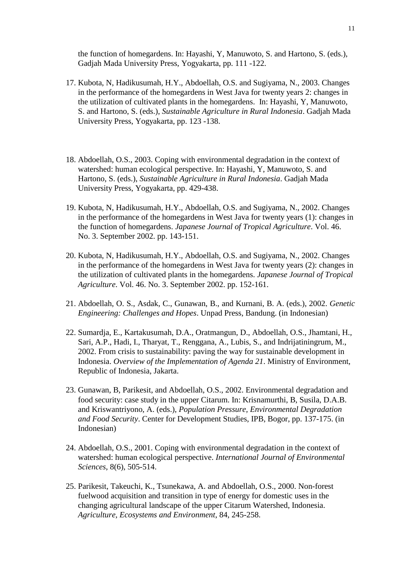the function of homegardens. In: Hayashi, Y, Manuwoto, S. and Hartono, S. (eds.), Gadjah Mada University Press, Yogyakarta, pp. 111 -122.

- 17. Kubota, N, Hadikusumah, H.Y., Abdoellah, O.S. and Sugiyama, N., 2003. Changes in the performance of the homegardens in West Java for twenty years 2: changes in the utilization of cultivated plants in the homegardens. In: Hayashi, Y, Manuwoto, S. and Hartono, S. (eds.), *Sustainable Agriculture in Rural Indonesia*. Gadjah Mada University Press, Yogyakarta, pp. 123 -138.
- 18. Abdoellah, O.S., 2003. Coping with environmental degradation in the context of watershed: human ecological perspective. In: Hayashi, Y, Manuwoto, S. and Hartono, S. (eds.), *Sustainable Agriculture in Rural Indonesia*. Gadjah Mada University Press, Yogyakarta, pp. 429-438.
- 19. Kubota, N, Hadikusumah, H.Y., Abdoellah, O.S. and Sugiyama, N., 2002. Changes in the performance of the homegardens in West Java for twenty years (1): changes in the function of homegardens. *Japanese Journal of Tropical Agriculture*. Vol. 46. No. 3. September 2002. pp. 143-151.
- 20. Kubota, N, Hadikusumah, H.Y., Abdoellah, O.S. and Sugiyama, N., 2002. Changes in the performance of the homegardens in West Java for twenty years (2): changes in the utilization of cultivated plants in the homegardens. *Japanese Journal of Tropical Agriculture*. Vol. 46. No. 3. September 2002. pp. 152-161.
- 21. Abdoellah, O. S., Asdak, C., Gunawan, B., and Kurnani, B. A. (eds.), 2002. *Genetic Engineering: Challenges and Hopes*. Unpad Press, Bandung. (in Indonesian)
- 22. Sumardja, E., Kartakusumah, D.A., Oratmangun, D., Abdoellah, O.S., Jhamtani, H., Sari, A.P., Hadi, I., Tharyat, T., Renggana, A., Lubis, S., and Indrijatiningrum, M., 2002. From crisis to sustainability: paving the way for sustainable development in Indonesia. *Overview of the Implementation of Agenda 21*. Ministry of Environment, Republic of Indonesia, Jakarta.
- 23. Gunawan, B, Parikesit, and Abdoellah, O.S., 2002. Environmental degradation and food security: case study in the upper Citarum. In: Krisnamurthi, B, Susila, D.A.B. and Kriswantriyono, A. (eds.), *Population Pressure, Environmental Degradation and Food Security*. Center for Development Studies, IPB, Bogor, pp. 137-175. (in Indonesian)
- 24. Abdoellah, O.S., 2001. Coping with environmental degradation in the context of watershed: human ecological perspective. *International Journal of Environmental Sciences*, 8(6), 505-514.
- 25. Parikesit, Takeuchi, K., Tsunekawa, A. and Abdoellah, O.S., 2000. Non-forest fuelwood acquisition and transition in type of energy for domestic uses in the changing agricultural landscape of the upper Citarum Watershed, Indonesia. *Agriculture, Ecosystems and Environment*, 84, 245-258.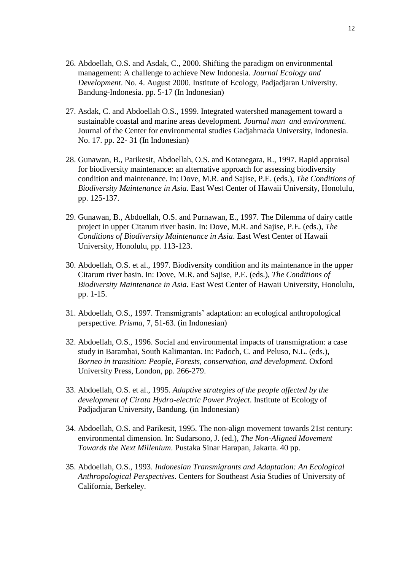- 26. Abdoellah, O.S. and Asdak, C., 2000. Shifting the paradigm on environmental management: A challenge to achieve New Indonesia. *Journal Ecology and Development*. No. 4. August 2000. Institute of Ecology, Padjadjaran University. Bandung-Indonesia. pp. 5-17 (In Indonesian)
- 27. Asdak, C. and Abdoellah O.S., 1999. Integrated watershed management toward a sustainable coastal and marine areas development. *Journal man and environment*. Journal of the Center for environmental studies Gadjahmada University, Indonesia. No. 17. pp. 22- 31 (In Indonesian)
- 28. Gunawan, B., Parikesit, Abdoellah, O.S. and Kotanegara, R., 1997. Rapid appraisal for biodiversity maintenance: an alternative approach for assessing biodiversity condition and maintenance. In: Dove, M.R. and Sajise, P.E. (eds.), *The Conditions of Biodiversity Maintenance in Asia*. East West Center of Hawaii University, Honolulu, pp. 125-137.
- 29. Gunawan, B., Abdoellah, O.S. and Purnawan, E., 1997. The Dilemma of dairy cattle project in upper Citarum river basin. In: Dove, M.R. and Sajise, P.E. (eds.), *The Conditions of Biodiversity Maintenance in Asia*. East West Center of Hawaii University, Honolulu, pp. 113-123.
- 30. Abdoellah, O.S. et al., 1997. Biodiversity condition and its maintenance in the upper Citarum river basin. In: Dove, M.R. and Sajise, P.E. (eds.), *The Conditions of Biodiversity Maintenance in Asia*. East West Center of Hawaii University, Honolulu, pp. 1-15.
- 31. Abdoellah, O.S., 1997. Transmigrants' adaptation: an ecological anthropological perspective. *Prisma*, 7, 51-63. (in Indonesian)
- 32. Abdoellah, O.S., 1996. Social and environmental impacts of transmigration: a case study in Barambai, South Kalimantan. In: Padoch, C. and Peluso, N.L. (eds.), *Borneo in transition: People, Forests, conservation, and development.* Oxford University Press, London, pp. 266-279.
- 33. Abdoellah, O.S. et al., 1995. *Adaptive strategies of the people affected by the development of Cirata Hydro-electric Power Project*. Institute of Ecology of Padjadjaran University, Bandung. (in Indonesian)
- 34. Abdoellah, O.S. and Parikesit, 1995. The non-align movement towards 21st century: environmental dimension. In: Sudarsono, J. (ed.), *The Non-Aligned Movement Towards the Next Millenium*. Pustaka Sinar Harapan, Jakarta. 40 pp.
- 35. Abdoellah, O.S., 1993. *Indonesian Transmigrants and Adaptation: An Ecological Anthropological Perspectives*. Centers for Southeast Asia Studies of University of California, Berkeley.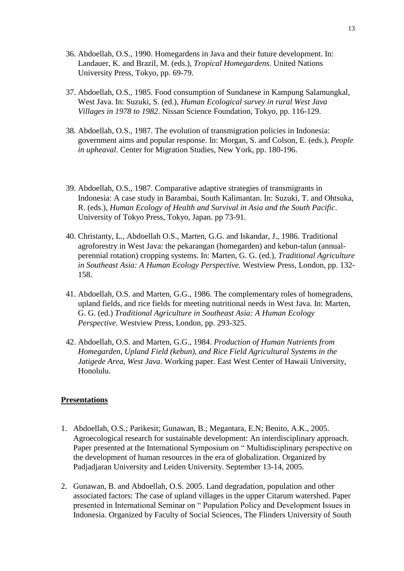- 36. Abdoellah, O.S., 1990. Homegardens in Java and their future development. In: Landauer, K. and Brazil, M. (eds.), *Tropical Homegardens*. United Nations University Press, Tokyo, pp. 69-79.
- 37. Abdoellah, O.S., 1985. Food consumption of Sundanese in Kampung Salamungkal, West Java. In: Suzuki, S. (ed.), *Human Ecological survey in rural West Java Villages in 1978 to 1982*. Nissan Science Foundation, Tokyo, pp. 116-129.
- 38. Abdoellah, O.S., 1987. The evolution of transmigration policies in Indonesia: government aims and popular response. In: Morgan, S. and Colson, E. (eds.), *People in upheaval*. Center for Migration Studies, New York, pp. 180-196.
- 39. Abdoellah, O.S., 1987. Comparative adaptive strategies of transmigrants in Indonesia: A case study in Barambai, South Kalimantan. In: Suzuki, T. and Ohtsuka, R. (eds.), *Human Ecology of Health and Survival in Asia and the South Pacific*. University of Tokyo Press, Tokyo, Japan. pp 73-91.
- 40. Christanty, L., Abdoellah O.S., Marten, G.G. and Iskandar, J., 1986. Traditional agroforestry in West Java: the pekarangan (homegarden) and kebun-talun (annualperennial rotation) cropping systems. In: Marten, G. G. (ed.), *Traditional Agriculture in Southeast Asia: A Human Ecology Perspective.* Westview Press, London, pp. 132- 158.
- 41. Abdoellah, O.S. and Marten, G.G., 1986. The complementary roles of homegradens, upland fields, and rice fields for meeting nutritional needs in West Java. In: Marten, G. G. (ed.) *Traditional Agriculture in Southeast Asia: A Human Ecology Perspective*. Westview Press, London, pp. 293-325.
- 42. Abdoellah, O.S. and Marten, G.G., 1984. *Production of Human Nutrients from Homegarden, Upland Field (kebun), and Rice Field Agricultural Systems in the Jatigede Area, West Java*. Working paper. East West Center of Hawaii University, Honolulu.

#### **Presentations**

- 1. Abdoellah, O.S.; Parikesit; Gunawan, B.; Megantara, E.N; Benito, A.K., 2005. Agroecological research for sustainable development: An interdisciplinary approach. Paper presented at the International Symposium on " Multidisciplinary perspective on the development of human resources in the era of globalization. Organized by Padjadjaran University and Leiden University. September 13-14, 2005.
- 2. Gunawan, B. and Abdoellah, O.S. 2005. Land degradation, population and other associated factors: The case of upland villages in the upper Citarum watershed. Paper presented in International Seminar on " Population Policy and Development Issues in Indonesia. Organized by Faculty of Social Sciences, The Flinders University of South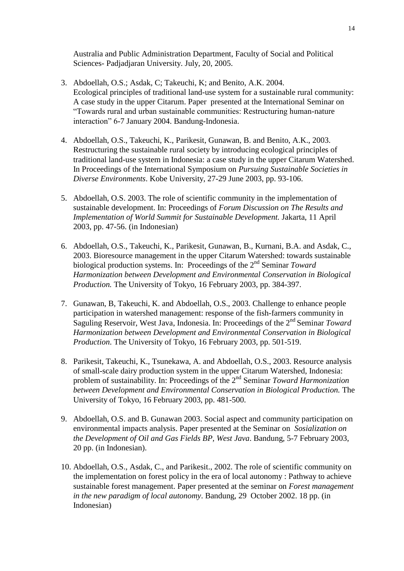Australia and Public Administration Department, Faculty of Social and Political Sciences- Padjadjaran University. July, 20, 2005.

- 3. Abdoellah, O.S.; Asdak, C; Takeuchi, K; and Benito, A.K. 2004. Ecological principles of traditional land-use system for a sustainable rural community: A case study in the upper Citarum. Paper presented at the International Seminar on "Towards rural and urban sustainable communities: Restructuring human-nature interaction" 6-7 January 2004. Bandung-Indonesia.
- 4. Abdoellah, O.S., Takeuchi, K., Parikesit, Gunawan, B. and Benito, A.K., 2003. Restructuring the sustainable rural society by introducing ecological principles of traditional land-use system in Indonesia: a case study in the upper Citarum Watershed. In Proceedings of the International Symposium on *Pursuing Sustainable Societies in Diverse Environments*. Kobe University, 27-29 June 2003, pp. 93-106.
- 5. Abdoellah, O.S. 2003. The role of scientific community in the implementation of sustainable development. In: Proceedings of *Forum Discussion on The Results and Implementation of World Summit for Sustainable Development.* Jakarta, 11 April 2003, pp. 47-56. (in Indonesian)
- 6. Abdoellah, O.S., Takeuchi, K., Parikesit, Gunawan, B., Kurnani, B.A. and Asdak, C., 2003. Bioresource management in the upper Citarum Watershed: towards sustainable biological production systems. In: Proceedings of the 2<sup>nd</sup> Seminar *Toward Harmonization between Development and Environmental Conservation in Biological Production.* The University of Tokyo, 16 February 2003, pp. 384-397.
- 7. Gunawan, B, Takeuchi, K. and Abdoellah, O.S., 2003. Challenge to enhance people participation in watershed management: response of the fish-farmers community in Saguling Reservoir, West Java, Indonesia. In: Proceedings of the 2<sup>nd</sup> Seminar *Toward Harmonization between Development and Environmental Conservation in Biological Production*. The University of Tokyo, 16 February 2003, pp. 501-519.
- 8. Parikesit, Takeuchi, K., Tsunekawa, A. and Abdoellah, O.S., 2003. Resource analysis of small-scale dairy production system in the upper Citarum Watershed, Indonesia: problem of sustainability. In: Proceedings of the 2nd Seminar *Toward Harmonization between Development and Environmental Conservation in Biological Production.* The University of Tokyo, 16 February 2003, pp. 481-500.
- 9. Abdoellah, O.S. and B. Gunawan 2003. Social aspect and community participation on environmental impacts analysis. Paper presented at the Seminar on *Sosialization on the Development of Oil and Gas Fields BP, West Java*. Bandung, 5-7 February 2003, 20 pp. (in Indonesian).
- 10. Abdoellah, O.S., Asdak, C., and Parikesit., 2002. The role of scientific community on the implementation on forest policy in the era of local autonomy : Pathway to achieve sustainable forest management. Paper presented at the seminar on *Forest management in the new paradigm of local autonomy*. Bandung, 29 October 2002. 18 pp. (in Indonesian)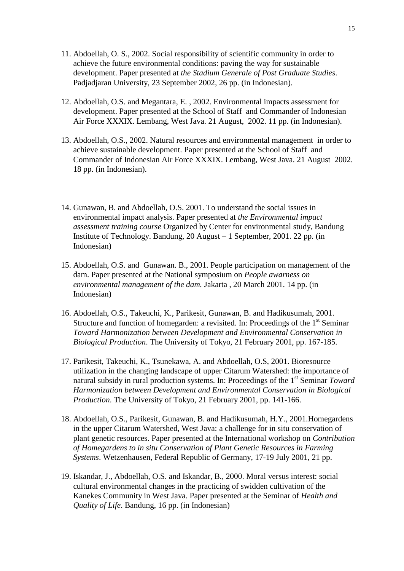- 11. Abdoellah, O. S., 2002. Social responsibility of scientific community in order to achieve the future environmental conditions: paving the way for sustainable development. Paper presented at *the Stadium Generale of Post Graduate Studies*. Padjadjaran University, 23 September 2002, 26 pp. (in Indonesian).
- 12. Abdoellah, O.S. and Megantara, E. , 2002. Environmental impacts assessment for development. Paper presented at the School of Staff and Commander of Indonesian Air Force XXXIX. Lembang, West Java. 21 August, 2002. 11 pp. (in Indonesian).
- 13. Abdoellah, O.S., 2002. Natural resources and environmental management in order to achieve sustainable development. Paper presented at the School of Staff and Commander of Indonesian Air Force XXXIX. Lembang, West Java. 21 August 2002. 18 pp. (in Indonesian).
- 14. Gunawan, B. and Abdoellah, O.S. 2001. To understand the social issues in environmental impact analysis. Paper presented at *the Environmental impact assessment training course* Organized by Center for environmental study, Bandung Institute of Technology. Bandung, 20 August – 1 September, 2001. 22 pp. (in Indonesian)
- 15. Abdoellah, O.S. and Gunawan. B., 2001. People participation on management of the dam. Paper presented at the National symposium on *People awarness on environmental management of the dam.* Jakarta , 20 March 2001. 14 pp. (in Indonesian)
- 16. Abdoellah, O.S., Takeuchi, K., Parikesit, Gunawan, B. and Hadikusumah, 2001. Structure and function of homegarden: a revisited. In: Proceedings of the  $1<sup>st</sup>$  Seminar *Toward Harmonization between Development and Environmental Conservation in Biological Production*. The University of Tokyo, 21 February 2001, pp. 167-185.
- 17. Parikesit, Takeuchi, K., Tsunekawa, A. and Abdoellah, O.S, 2001. Bioresource utilization in the changing landscape of upper Citarum Watershed: the importance of natural subsidy in rural production systems. In: Proceedings of the 1<sup>st</sup> Seminar *Toward Harmonization between Development and Environmental Conservation in Biological Production*. The University of Tokyo, 21 February 2001, pp. 141-166.
- 18. Abdoellah, O.S., Parikesit, Gunawan, B. and Hadikusumah, H.Y., 2001.Homegardens in the upper Citarum Watershed, West Java: a challenge for in situ conservation of plant genetic resources. Paper presented at the International workshop on *Contribution of Homegardens to in situ Conservation of Plant Genetic Resources in Farming Systems*. Wetzenhausen, Federal Republic of Germany, 17-19 July 2001, 21 pp.
- 19. Iskandar, J., Abdoellah, O.S. and Iskandar, B., 2000. Moral versus interest: social cultural environmental changes in the practicing of swidden cultivation of the Kanekes Community in West Java. Paper presented at the Seminar of *Health and Quality of Life*. Bandung, 16 pp. (in Indonesian)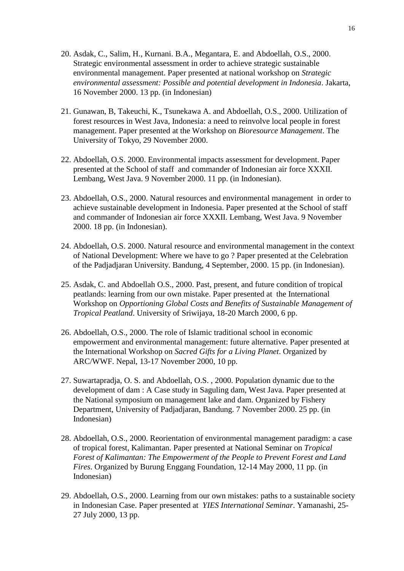- 20. Asdak, C., Salim, H., Kurnani. B.A., Megantara, E. and Abdoellah, O.S., 2000. Strategic environmental assessment in order to achieve strategic sustainable environmental management. Paper presented at national workshop on *Strategic environmental assessment: Possible and potential development in Indonesia*. Jakarta, 16 November 2000. 13 pp. (in Indonesian)
- 21. Gunawan, B, Takeuchi, K., Tsunekawa A. and Abdoellah, O.S., 2000. Utilization of forest resources in West Java, Indonesia: a need to reinvolve local people in forest management. Paper presented at the Workshop on *Bioresource Management*. The University of Tokyo, 29 November 2000.
- 22. Abdoellah, O.S. 2000. Environmental impacts assessment for development. Paper presented at the School of staff and commander of Indonesian air force XXXII. Lembang, West Java. 9 November 2000. 11 pp. (in Indonesian).
- 23. Abdoellah, O.S., 2000. Natural resources and environmental management in order to achieve sustainable development in Indonesia. Paper presented at the School of staff and commander of Indonesian air force XXXII. Lembang, West Java. 9 November 2000. 18 pp. (in Indonesian).
- 24. Abdoellah, O.S. 2000. Natural resource and environmental management in the context of National Development: Where we have to go ? Paper presented at the Celebration of the Padjadjaran University. Bandung, 4 September, 2000. 15 pp. (in Indonesian).
- 25. Asdak, C. and Abdoellah O.S., 2000. Past, present, and future condition of tropical peatlands: learning from our own mistake. Paper presented at the International Workshop on *Opportioning Global Costs and Benefits of Sustainable Management of Tropical Peatland*. University of Sriwijaya, 18-20 March 2000, 6 pp.
- 26. Abdoellah, O.S., 2000. The role of Islamic traditional school in economic empowerment and environmental management: future alternative. Paper presented at the International Workshop on *Sacred Gifts for a Living Planet*. Organized by ARC/WWF. Nepal, 13-17 November 2000, 10 pp.
- 27. Suwartapradja, O. S. and Abdoellah, O.S. , 2000. Population dynamic due to the development of dam : A Case study in Saguling dam, West Java. Paper presented at the National symposium on management lake and dam. Organized by Fishery Department, University of Padjadjaran, Bandung. 7 November 2000. 25 pp. (in Indonesian)
- 28. Abdoellah, O.S., 2000. Reorientation of environmental management paradigm: a case of tropical forest, Kalimantan. Paper presented at National Seminar on *Tropical Forest of Kalimantan: The Empowerment of the People to Prevent Forest and Land Fires*. Organized by Burung Enggang Foundation, 12-14 May 2000, 11 pp. (in Indonesian)
- 29. Abdoellah, O.S., 2000. Learning from our own mistakes: paths to a sustainable society in Indonesian Case. Paper presented at *YIES International Seminar*. Yamanashi, 25- 27 July 2000, 13 pp.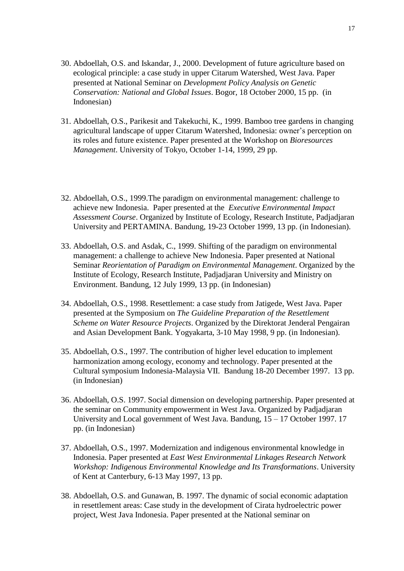- 30. Abdoellah, O.S. and Iskandar, J., 2000. Development of future agriculture based on ecological principle: a case study in upper Citarum Watershed, West Java. Paper presented at National Seminar on *Development Policy Analysis on Genetic Conservation: National and Global Issues*. Bogor, 18 October 2000, 15 pp. (in Indonesian)
- 31. Abdoellah, O.S., Parikesit and Takekuchi, K., 1999. Bamboo tree gardens in changing agricultural landscape of upper Citarum Watershed, Indonesia: owner's perception on its roles and future existence. Paper presented at the Workshop on *Bioresources Management*. University of Tokyo, October 1-14, 1999, 29 pp.
- 32. Abdoellah, O.S., 1999.The paradigm on environmental management: challenge to achieve new Indonesia. Paper presented at the *Executive Environmental Impact Assessment Course*. Organized by Institute of Ecology, Research Institute, Padjadjaran University and PERTAMINA. Bandung, 19-23 October 1999, 13 pp. (in Indonesian).
- 33. Abdoellah, O.S. and Asdak, C., 1999. Shifting of the paradigm on environmental management: a challenge to achieve New Indonesia. Paper presented at National Seminar *Reorientation of Paradigm on Environmental Management*. Organized by the Institute of Ecology, Research Institute, Padjadjaran University and Ministry on Environment. Bandung, 12 July 1999, 13 pp. (in Indonesian)
- 34. Abdoellah, O.S., 1998. Resettlement: a case study from Jatigede, West Java. Paper presented at the Symposium on *The Guideline Preparation of the Resettlement Scheme on Water Resource Projects*. Organized by the Direktorat Jenderal Pengairan and Asian Development Bank. Yogyakarta, 3-10 May 1998, 9 pp. (in Indonesian).
- 35. Abdoellah, O.S., 1997. The contribution of higher level education to implement harmonization among ecology, economy and technology. Paper presented at the Cultural symposium Indonesia-Malaysia VII. Bandung 18-20 December 1997. 13 pp. (in Indonesian)
- 36. Abdoellah, O.S. 1997. Social dimension on developing partnership. Paper presented at the seminar on Community empowerment in West Java. Organized by Padjadjaran University and Local government of West Java. Bandung, 15 – 17 October 1997. 17 pp. (in Indonesian)
- 37. Abdoellah, O.S., 1997. Modernization and indigenous environmental knowledge in Indonesia. Paper presented at *East West Environmental Linkages Research Network Workshop: Indigenous Environmental Knowledge and Its Transformations*. University of Kent at Canterbury, 6-13 May 1997, 13 pp.
- 38. Abdoellah, O.S. and Gunawan, B. 1997. The dynamic of social economic adaptation in resettlement areas: Case study in the development of Cirata hydroelectric power project, West Java Indonesia. Paper presented at the National seminar on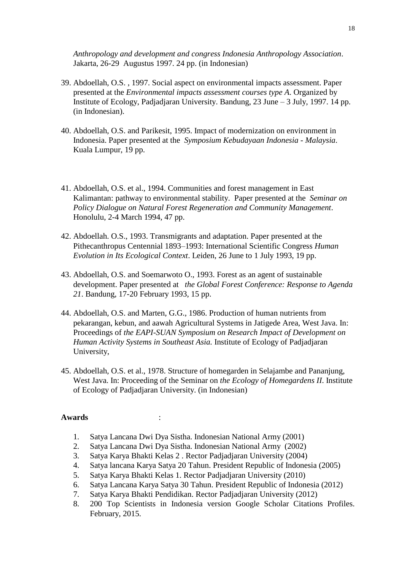*Anthropology and development and congress Indonesia Anthropology Association*. Jakarta, 26-29 Augustus 1997. 24 pp. (in Indonesian)

- 39. Abdoellah, O.S. , 1997. Social aspect on environmental impacts assessment. Paper presented at the *Environmental impacts assessment courses type A*. Organized by Institute of Ecology, Padjadjaran University. Bandung, 23 June – 3 July, 1997. 14 pp. (in Indonesian).
- 40. Abdoellah, O.S. and Parikesit, 1995. Impact of modernization on environment in Indonesia. Paper presented at the *Symposium Kebudayaan Indonesia - Malaysia*. Kuala Lumpur, 19 pp.
- 41. Abdoellah, O.S. et al., 1994. Communities and forest management in East Kalimantan: pathway to environmental stability. Paper presented at the *Seminar on Policy Dialogue on Natural Forest Regeneration and Community Management*. Honolulu, 2-4 March 1994, 47 pp.
- 42. Abdoellah. O.S., 1993. Transmigrants and adaptation. Paper presented at the Pithecanthropus Centennial 1893–1993: International Scientific Congress *Human Evolution in Its Ecological Context*. Leiden, 26 June to 1 July 1993, 19 pp.
- 43. Abdoellah, O.S. and Soemarwoto O., 1993. Forest as an agent of sustainable development. Paper presented at *the Global Forest Conference: Response to Agenda 21*. Bandung, 17-20 February 1993, 15 pp.
- 44. Abdoellah, O.S. and Marten, G.G., 1986. Production of human nutrients from pekarangan, kebun, and aawah Agricultural Systems in Jatigede Area, West Java. In: Proceedings of *the EAPI-SUAN Symposium on Research Impact of Development on Human Activity Systems in Southeast Asia.* Institute of Ecology of Padjadjaran University,
- 45. Abdoellah, O.S. et al., 1978. Structure of homegarden in Selajambe and Pananjung, West Java. In: Proceeding of the Seminar on *the Ecology of Homegardens II*. Institute of Ecology of Padjadjaran University. (in Indonesian)

#### **Awards** :

- 1. Satya Lancana Dwi Dya Sistha. Indonesian National Army (2001)
- 2. Satya Lancana Dwi Dya Sistha. Indonesian National Army (2002)
- 3. Satya Karya Bhakti Kelas 2 . Rector Padjadjaran University (2004)
- 4. Satya lancana Karya Satya 20 Tahun. President Republic of Indonesia (2005)
- 5. Satya Karya Bhakti Kelas 1. Rector Padjadjaran University (2010)
- 6. Satya Lancana Karya Satya 30 Tahun. President Republic of Indonesia (2012)
- 7. Satya Karya Bhakti Pendidikan. Rector Padjadjaran University (2012)
- 8. 200 Top Scientists in Indonesia version Google Scholar Citations Profiles. February, 2015.